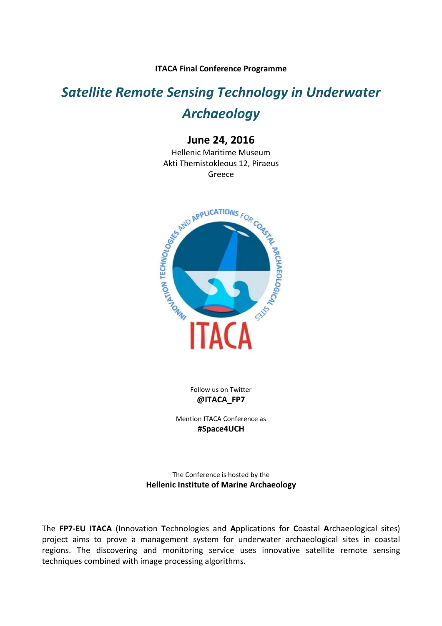**ITACA Final Conference Programme** 

# *Satellite Remote Sensing Technology in Underwater Archaeology*

# **June 24, 2016**

Hellenic Maritime Museum Akti Themistokleous 12, Piraeus Greece



Follow us on Twitter **@ITACA\_FP7** 

Mention ITACA Conference as **#Space4UCH**

The Conference is hosted by the **Hellenic Institute of Marine Archaeology** 

The **FP7-EU ITACA** (**I**nnovation **T**echnologies and **A**pplications for **C**oastal **A**rchaeological sites) project aims to prove a management system for underwater archaeological sites in coastal regions. The discovering and monitoring service uses innovative satellite remote sensing techniques combined with image processing algorithms.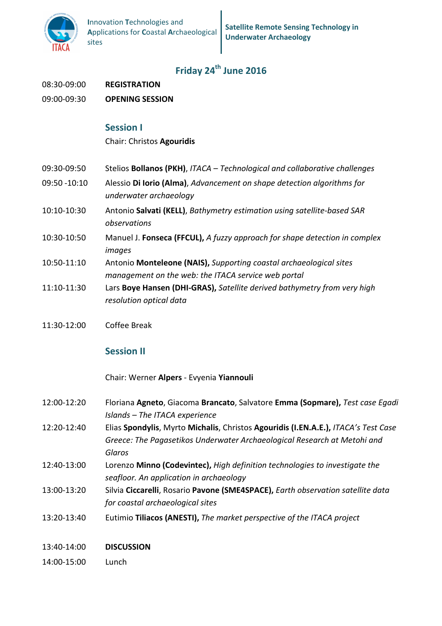

# **Friday 24th June 2016**

- 08:30-09:00 **REGISTRATION**
- 09:00-09:30 **OPENING SESSION**

#### **Session I**

Chair: Christos **Agouridis**

- 09:30-09:50Stelios **Bollanos (PKH)**, *ITACA Technological and collaborative challenges*
- 09:50 -10:10 Alessio **Di Iorio (Alma)**, *Advancement on shape detection algorithms for underwater archaeology*
- 10:10-10:30 Antonio **Salvati (KELL)**, *Bathymetry estimation using satellite-based SAR observations*
- 10:30-10:50 Manuel J. **Fonseca (FFCUL),** *A fuzzy approach for shape detection in complex images*
- 10:50-11:10 Antonio **Monteleone (NAIS),** *Supporting coastal archaeological sites management on the web: the ITACA service web portal*
- 11:10-11:30 Lars **Boye Hansen (DHI-GRAS),** *Satellite derived bathymetry from very high resolution optical data*
- 11:30-12:00 Coffee Break

## **Session II**

Chair: Werner **Alpers** - Evyenia **Yiannouli**

- 12:00-12:20 Floriana **Agneto**, Giacoma **Brancato**, Salvatore **Emma (Sopmare),** *Test case Egadi Islands – The ITACA experience*
- 12:20-12:40 Elias **Spondylis**, Myrto **Michalis**, Christos **Agouridis (I.EN.A.E.),** *ITACA's Test Case Greece: The Pagasetikos Underwater Archaeological Research at Metohi and Glaros*
- 12:40-13:00 Lorenzo **Minno (Codevintec),** *High definition technologies to investigate the seafloor. An application in archaeology*
- 13:00-13:20 Silvia **Ciccarelli**, Rosario **Pavone (SME4SPACE),** *Earth observation satellite data for coastal archaeological sites*
- 13:20-13:40 Eutimio **Tiliacos (ANESTI),** *The market perspective of the ITACA project*
- 13:40-14:00 **DISCUSSION**
- 14:00-15:00 Lunch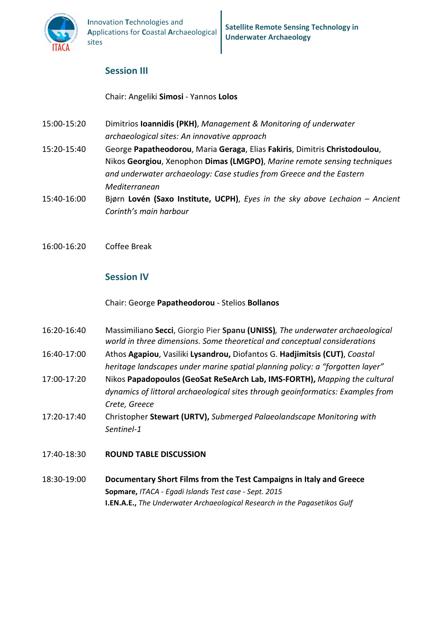

# **Session III**

Chair: Angeliki **Simosi** - Yannos **Lolos**

- 15:00-15:20 Dimitrios **Ioannidis (PKH)**, *Management & Monitoring of underwater archaeological sites: An innovative approach*
- 15:20-15:40 George **Papatheodorou**, Maria **Geraga**, Elias **Fakiris**, Dimitris **Christodoulou**, Nikos **Georgiou**, Xenophon **Dimas (LMGPO)**, *Marine remote sensing techniques and underwater archaeology: Case studies from Greece and the Eastern Mediterranean*
- 15:40-16:00 Bjørn **Lovén (Saxo Institute, UCPH)**, *Eyes in the sky above Lechaion Ancient Corinth's main harbour*
- 16:00-16:20 Coffee Break

## **Session IV**

Chair: George **Papatheodorou** - Stelios **Bollanos**

- 16:20-16:40 Massimiliano **Secci**, Giorgio Pier **Spanu (UNISS)***, The underwater archaeological world in three dimensions. Some theoretical and conceptual considerations*
- 16:40-17:00 Athos **Agapiou**, Vasiliki **Lysandrou,** Diofantos G. **Hadjimitsis (CUT)**, *Coastal heritage landscapes under marine spatial planning policy: a "forgotten layer"*
- 17:00-17:20 Nikos **Papadopoulos (GeoSat ReSeArch Lab, IMS-FORTH),** *Mapping the cultural dynamics of littoral archaeological sites through geoinformatics: Examples from Crete, Greece*
- 17:20-17:40 Christopher **Stewart (URTV),** *Submerged Palaeolandscape Monitoring with Sentinel-1*
- 17:40-18:30 **ROUND TABLE DISCUSSION**
- 18:30-19:00 **Documentary Short Films from the Test Campaigns in Italy and Greece Sopmare,** *ITACA - Egadi Islands Test case - Sept. 2015*  **I.EN.A.E.,** *The Underwater Archaeological Research in the Pagasetikos Gulf*